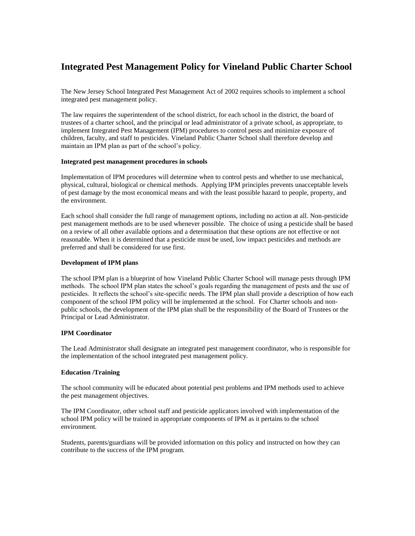# **Integrated Pest Management Policy for Vineland Public Charter School**

The New Jersey School Integrated Pest Management Act of 2002 requires schools to implement a school integrated pest management policy.

The law requires the superintendent of the school district, for each school in the district, the board of trustees of a charter school, and the principal or lead administrator of a private school, as appropriate, to implement Integrated Pest Management (IPM) procedures to control pests and minimize exposure of children, faculty, and staff to pesticides. Vineland Public Charter School shall therefore develop and maintain an IPM plan as part of the school's policy.

# **Integrated pest management procedures in schools**

Implementation of IPM procedures will determine when to control pests and whether to use mechanical, physical, cultural, biological or chemical methods. Applying IPM principles prevents unacceptable levels of pest damage by the most economical means and with the least possible hazard to people, property, and the environment.

Each school shall consider the full range of management options, including no action at all. Non-pesticide pest management methods are to be used whenever possible. The choice of using a pesticide shall be based on a review of all other available options and a determination that these options are not effective or not reasonable. When it is determined that a pesticide must be used, low impact pesticides and methods are preferred and shall be considered for use first.

# **Development of IPM plans**

The school IPM plan is a blueprint of how Vineland Public Charter School will manage pests through IPM methods. The school IPM plan states the school's goals regarding the management of pests and the use of pesticides. It reflects the school's site-specific needs. The IPM plan shall provide a description of how each component of the school IPM policy will be implemented at the school. For Charter schools and nonpublic schools, the development of the IPM plan shall be the responsibility of the Board of Trustees or the Principal or Lead Administrator.

#### **IPM Coordinator**

The Lead Administrator shall designate an integrated pest management coordinator, who is responsible for the implementation of the school integrated pest management policy.

# **Education /Training**

The school community will be educated about potential pest problems and IPM methods used to achieve the pest management objectives.

The IPM Coordinator, other school staff and pesticide applicators involved with implementation of the school IPM policy will be trained in appropriate components of IPM as it pertains to the school environment*.*

Students, parents/guardians will be provided information on this policy and instructed on how they can contribute to the success of the IPM program.